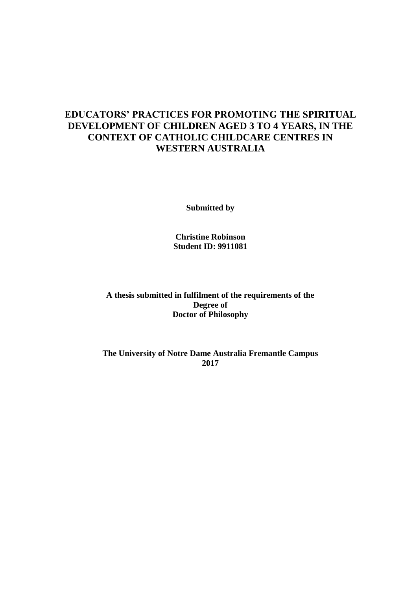## **EDUCATORS' PRACTICES FOR PROMOTING THE SPIRITUAL DEVELOPMENT OF CHILDREN AGED 3 TO 4 YEARS, IN THE CONTEXT OF CATHOLIC CHILDCARE CENTRES IN WESTERN AUSTRALIA**

**Submitted by** 

**Christine Robinson Student ID: 9911081** 

**A thesis submitted in fulfilment of the requirements of the Degree of Doctor of Philosophy** 

**The University of Notre Dame Australia Fremantle Campus 2017**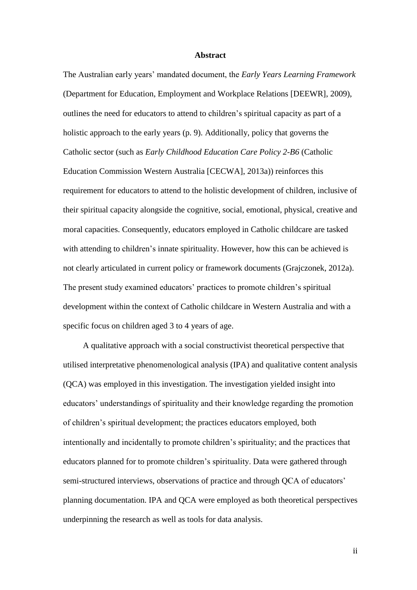#### **Abstract**

The Australian early years' mandated document, the *Early Years Learning Framework* (Department for Education, Employment and Workplace Relations [DEEWR], 2009), outlines the need for educators to attend to children's spiritual capacity as part of a holistic approach to the early years (p. 9). Additionally, policy that governs the Catholic sector (such as *Early Childhood Education Care Policy 2-B6* (Catholic Education Commission Western Australia [CECWA], 2013a)) reinforces this requirement for educators to attend to the holistic development of children, inclusive of their spiritual capacity alongside the cognitive, social, emotional, physical, creative and moral capacities. Consequently, educators employed in Catholic childcare are tasked with attending to children's innate spirituality. However, how this can be achieved is not clearly articulated in current policy or framework documents (Grajczonek, 2012a). The present study examined educators' practices to promote children's spiritual development within the context of Catholic childcare in Western Australia and with a specific focus on children aged 3 to 4 years of age.

A qualitative approach with a social constructivist theoretical perspective that utilised interpretative phenomenological analysis (IPA) and qualitative content analysis (QCA) was employed in this investigation. The investigation yielded insight into educators' understandings of spirituality and their knowledge regarding the promotion of children's spiritual development; the practices educators employed, both intentionally and incidentally to promote children's spirituality; and the practices that educators planned for to promote children's spirituality. Data were gathered through semi-structured interviews, observations of practice and through QCA of educators' planning documentation. IPA and QCA were employed as both theoretical perspectives underpinning the research as well as tools for data analysis.

ii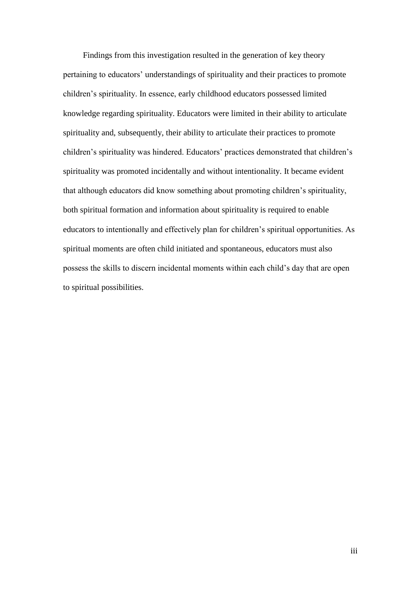Findings from this investigation resulted in the generation of key theory pertaining to educators' understandings of spirituality and their practices to promote children's spirituality. In essence, early childhood educators possessed limited knowledge regarding spirituality. Educators were limited in their ability to articulate spirituality and, subsequently, their ability to articulate their practices to promote children's spirituality was hindered. Educators' practices demonstrated that children's spirituality was promoted incidentally and without intentionality. It became evident that although educators did know something about promoting children's spirituality, both spiritual formation and information about spirituality is required to enable educators to intentionally and effectively plan for children's spiritual opportunities. As spiritual moments are often child initiated and spontaneous, educators must also possess the skills to discern incidental moments within each child's day that are open to spiritual possibilities.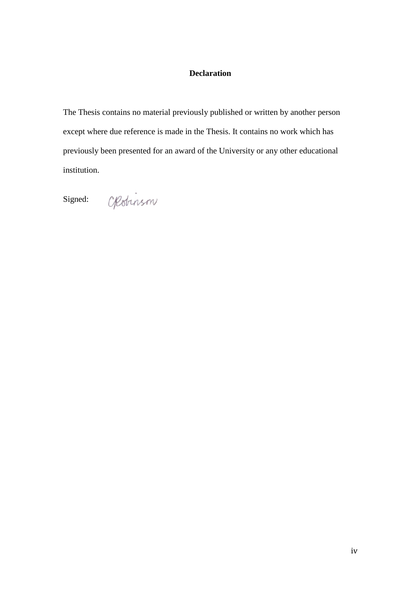### **Declaration**

The Thesis contains no material previously published or written by another person except where due reference is made in the Thesis. It contains no work which has previously been presented for an award of the University or any other educational institution.

Signed:

Opobinson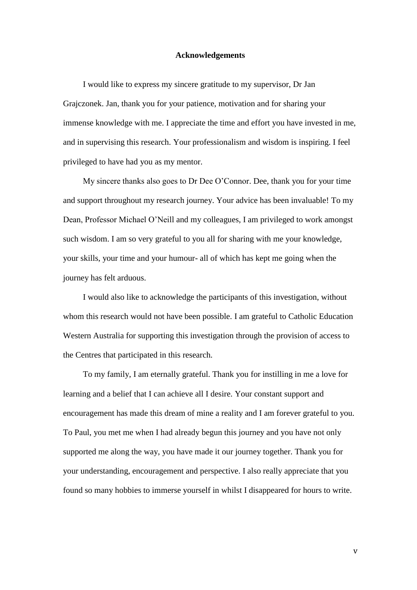#### **Acknowledgements**

I would like to express my sincere gratitude to my supervisor, Dr Jan Grajczonek. Jan, thank you for your patience, motivation and for sharing your immense knowledge with me. I appreciate the time and effort you have invested in me, and in supervising this research. Your professionalism and wisdom is inspiring. I feel privileged to have had you as my mentor.

My sincere thanks also goes to Dr Dee O'Connor. Dee, thank you for your time and support throughout my research journey. Your advice has been invaluable! To my Dean, Professor Michael O'Neill and my colleagues, I am privileged to work amongst such wisdom. I am so very grateful to you all for sharing with me your knowledge, your skills, your time and your humour- all of which has kept me going when the journey has felt arduous.

I would also like to acknowledge the participants of this investigation, without whom this research would not have been possible. I am grateful to Catholic Education Western Australia for supporting this investigation through the provision of access to the Centres that participated in this research.

To my family, I am eternally grateful. Thank you for instilling in me a love for learning and a belief that I can achieve all I desire. Your constant support and encouragement has made this dream of mine a reality and I am forever grateful to you. To Paul, you met me when I had already begun this journey and you have not only supported me along the way, you have made it our journey together. Thank you for your understanding, encouragement and perspective. I also really appreciate that you found so many hobbies to immerse yourself in whilst I disappeared for hours to write.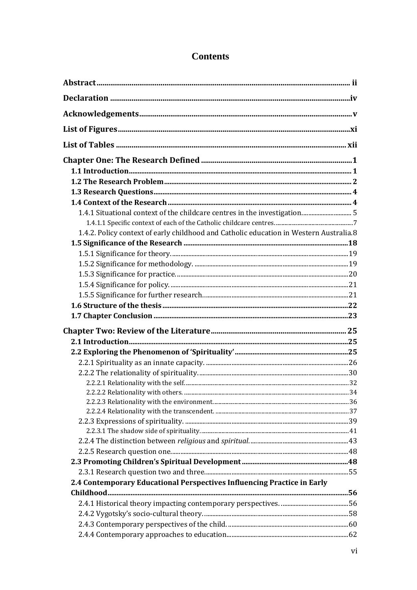| 1.4.2. Policy context of early childhood and Catholic education in Western Australia.8 |  |
|----------------------------------------------------------------------------------------|--|
|                                                                                        |  |
|                                                                                        |  |
|                                                                                        |  |
|                                                                                        |  |
|                                                                                        |  |
|                                                                                        |  |
|                                                                                        |  |
|                                                                                        |  |
|                                                                                        |  |
|                                                                                        |  |
|                                                                                        |  |
|                                                                                        |  |
|                                                                                        |  |
|                                                                                        |  |
|                                                                                        |  |
|                                                                                        |  |
|                                                                                        |  |
|                                                                                        |  |
|                                                                                        |  |
|                                                                                        |  |
|                                                                                        |  |
|                                                                                        |  |
|                                                                                        |  |
| 2.4 Contemporary Educational Perspectives Influencing Practice in Early                |  |
|                                                                                        |  |
|                                                                                        |  |
|                                                                                        |  |
|                                                                                        |  |
|                                                                                        |  |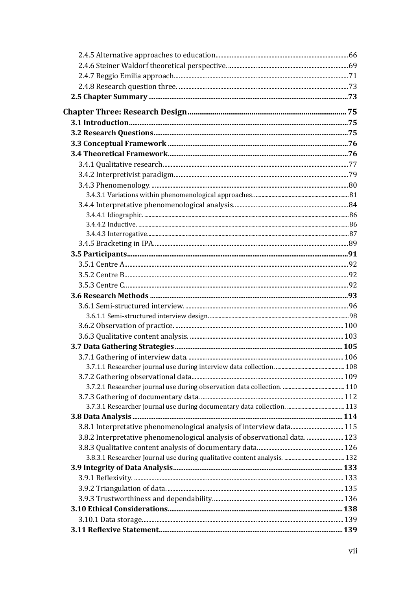| 3.8.1 Interpretative phenomenological analysis of interview data 115     |  |
|--------------------------------------------------------------------------|--|
| 3.8.2 Interpretative phenomenological analysis of observational data 123 |  |
|                                                                          |  |
|                                                                          |  |
|                                                                          |  |
|                                                                          |  |
|                                                                          |  |
|                                                                          |  |
|                                                                          |  |
|                                                                          |  |
|                                                                          |  |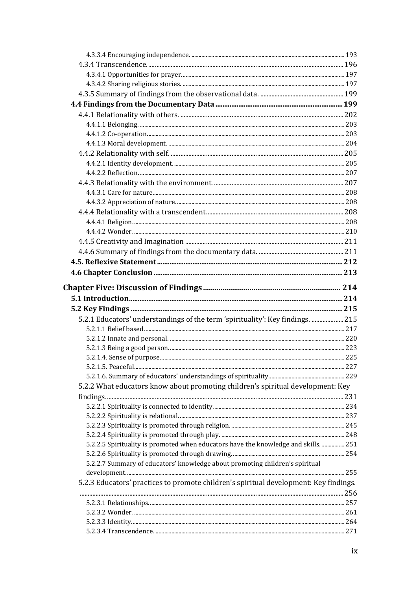| 5.2.1 Educators' understandings of the term 'spirituality': Key findings.  215        |  |
|---------------------------------------------------------------------------------------|--|
|                                                                                       |  |
|                                                                                       |  |
|                                                                                       |  |
|                                                                                       |  |
|                                                                                       |  |
|                                                                                       |  |
| 5.2.2 What educators know about promoting children's spiritual development: Key       |  |
|                                                                                       |  |
|                                                                                       |  |
|                                                                                       |  |
|                                                                                       |  |
|                                                                                       |  |
| 5.2.2.5 Spirituality is promoted when educators have the knowledge and skills 251     |  |
|                                                                                       |  |
| 5.2.2.7 Summary of educators' knowledge about promoting children's spiritual          |  |
| 5.2.3 Educators' practices to promote children's spiritual development: Key findings. |  |
|                                                                                       |  |
|                                                                                       |  |
|                                                                                       |  |
|                                                                                       |  |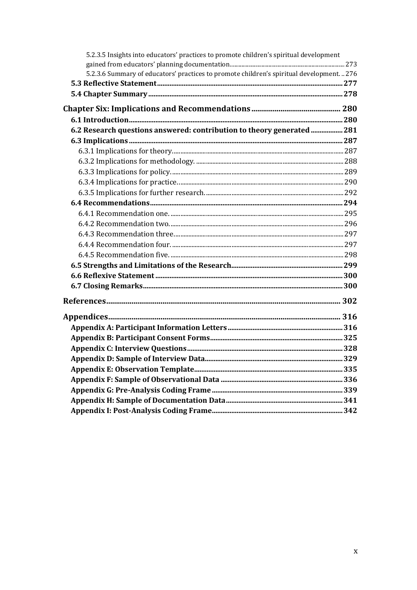| 5.2.3.5 Insights into educators' practices to promote children's spiritual development    |  |
|-------------------------------------------------------------------------------------------|--|
|                                                                                           |  |
| 5.2.3.6 Summary of educators' practices to promote children's spiritual development.  276 |  |
|                                                                                           |  |
|                                                                                           |  |
|                                                                                           |  |
|                                                                                           |  |
| 6.2 Research questions answered: contribution to theory generated  281                    |  |
|                                                                                           |  |
|                                                                                           |  |
|                                                                                           |  |
|                                                                                           |  |
|                                                                                           |  |
|                                                                                           |  |
|                                                                                           |  |
|                                                                                           |  |
|                                                                                           |  |
|                                                                                           |  |
|                                                                                           |  |
|                                                                                           |  |
|                                                                                           |  |
|                                                                                           |  |
|                                                                                           |  |
|                                                                                           |  |
|                                                                                           |  |
|                                                                                           |  |
|                                                                                           |  |
|                                                                                           |  |
|                                                                                           |  |
|                                                                                           |  |
|                                                                                           |  |
|                                                                                           |  |
|                                                                                           |  |
|                                                                                           |  |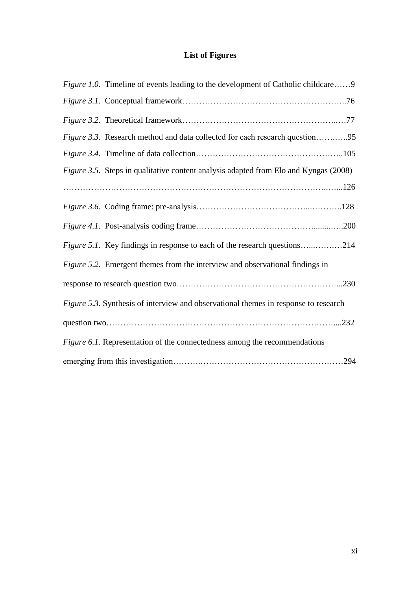# **List of Figures**

| <i>Figure 1.0.</i> Timeline of events leading to the development of Catholic childcare9 |
|-----------------------------------------------------------------------------------------|
|                                                                                         |
|                                                                                         |
| <i>Figure 3.3.</i> Research method and data collected for each research question95      |
|                                                                                         |
| Figure 3.5. Steps in qualitative content analysis adapted from Elo and Kyngas (2008)    |
|                                                                                         |
|                                                                                         |
|                                                                                         |
| Figure 5.1. Key findings in response to each of the research questions214               |
| Figure 5.2. Emergent themes from the interview and observational findings in            |
|                                                                                         |
| Figure 5.3. Synthesis of interview and observational themes in response to research     |
|                                                                                         |
| Figure 6.1. Representation of the connectedness among the recommendations               |
| .294                                                                                    |